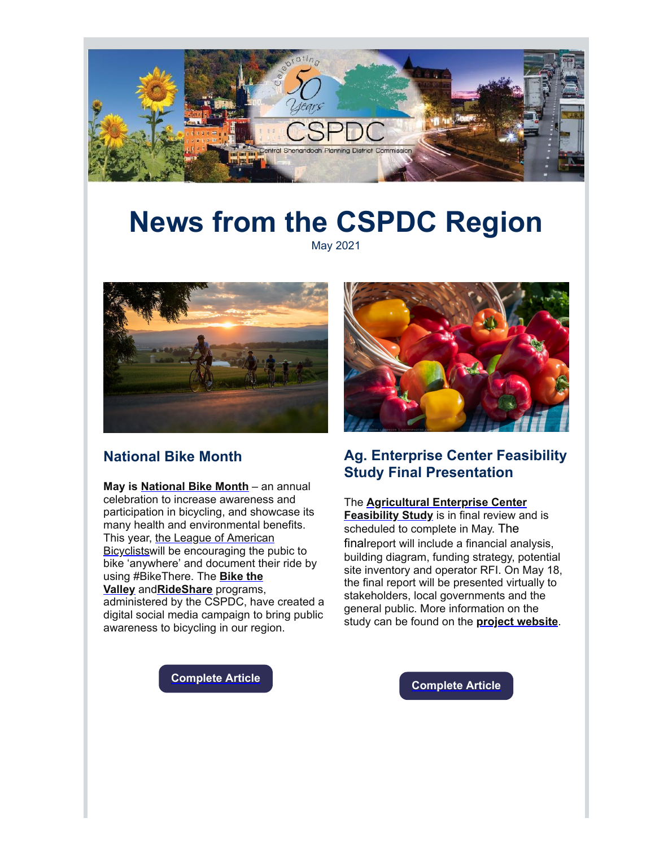

# **News from the CSPDC Region**

May 2021



### **National Bike Month**

**May is [National Bike Month](http://r20.rs6.net/tn.jsp?f=001SnaFE5R8OwDRq9QwMKfrI1UJOMjYrJ2V1oF3fPiUFbLcW2aBO1RB4I-n65KUC0O3b31XB-1rDvzRR6ogoRXaEWt1IeQB1l5gFbo844My9M9s9qtY0BZOU5OKt_m9SKXTKh2xxsHGdTj8ANLuQSTOR1wKuWJwILZX&c=-rCxVHBLhHapzsdebnm3V99D6CjQIGPHTApVnHxdNCtAlF0JE5h9xg==&ch=OMSYqW4GcYSGAOxG9Zl7g4lI8R-KhLV7Ik5tYXL0gmKTm3ANLu4kaQ==)** – an annual celebration to increase awareness and participation in bicycling, and showcase its many health and environmental benefits. This year, the League of American [Bicyclistswill be encouraging the pu](http://r20.rs6.net/tn.jsp?f=001SnaFE5R8OwDRq9QwMKfrI1UJOMjYrJ2V1oF3fPiUFbLcW2aBO1RB4I-n65KUC0O3b31XB-1rDvzRR6ogoRXaEWt1IeQB1l5gFbo844My9M9s9qtY0BZOU5OKt_m9SKXTKh2xxsHGdTj8ANLuQSTOR1wKuWJwILZX&c=-rCxVHBLhHapzsdebnm3V99D6CjQIGPHTApVnHxdNCtAlF0JE5h9xg==&ch=OMSYqW4GcYSGAOxG9Zl7g4lI8R-KhLV7Ik5tYXL0gmKTm3ANLu4kaQ==)bic to bike 'anywhere' and document their ride by [using #BikeThere. The](http://r20.rs6.net/tn.jsp?f=001SnaFE5R8OwDRq9QwMKfrI1UJOMjYrJ2V1oF3fPiUFbLcW2aBO1RB4G9WYVnRa1iKvLDQw4dvlGWzyC1ojhyqvwpHoqHYx1XwD9pyJOXehSOLmAnWxtlHJBJl16RIIEDHzbRpaSaqKCjAm7yYyW9ZpA==&c=-rCxVHBLhHapzsdebnm3V99D6CjQIGPHTApVnHxdNCtAlF0JE5h9xg==&ch=OMSYqW4GcYSGAOxG9Zl7g4lI8R-KhLV7Ik5tYXL0gmKTm3ANLu4kaQ==) **Bike the Valley** and**[RideShare](http://r20.rs6.net/tn.jsp?f=001SnaFE5R8OwDRq9QwMKfrI1UJOMjYrJ2V1oF3fPiUFbLcW2aBO1RB4PgSPRjx_jhAIqw_I_AC-jDF1rCLd7ONSz1W52dZj76v3JHfh4VZOEO1TdMja4i7gc6bcn8EasC0KXY0KYjiVRtCln_qptQeMQ==&c=-rCxVHBLhHapzsdebnm3V99D6CjQIGPHTApVnHxdNCtAlF0JE5h9xg==&ch=OMSYqW4GcYSGAOxG9Zl7g4lI8R-KhLV7Ik5tYXL0gmKTm3ANLu4kaQ==)** programs,

administered by the CSPDC, have created a digital social media campaign to bring public awareness to bicycling in our region.



# **Ag. Enterprise Center Feasibility Study Final Presentation**

### The **[Agricultural Enterprise Center](http://r20.rs6.net/tn.jsp?f=001SnaFE5R8OwDRq9QwMKfrI1UJOMjYrJ2V1oF3fPiUFbLcW2aBO1RB4F_YrgnKkWMr67le4mcNczY2e3X-vOnkz2KUlnK1tTmpuqQ_umi2C2dhuQVr4lvMTVItR12G3blDW02V5sw450TvhKJOVMdASg==&c=-rCxVHBLhHapzsdebnm3V99D6CjQIGPHTApVnHxdNCtAlF0JE5h9xg==&ch=OMSYqW4GcYSGAOxG9Zl7g4lI8R-KhLV7Ik5tYXL0gmKTm3ANLu4kaQ==) Feasibility Study** is in final review and is scheduled to complete in May. The finalreport will include a financial analysis, building diagram, funding strategy, potential

site inventory and operator RFI. On May 18, the final report will be presented virtually to stakeholders, local governments and the general public. More information on the study can be found on the **[project website](http://r20.rs6.net/tn.jsp?f=001SnaFE5R8OwDRq9QwMKfrI1UJOMjYrJ2V1oF3fPiUFbLcW2aBO1RB4F_YrgnKkWMr67le4mcNczY2e3X-vOnkz2KUlnK1tTmpuqQ_umi2C2dhuQVr4lvMTVItR12G3blDW02V5sw450TvhKJOVMdASg==&c=-rCxVHBLhHapzsdebnm3V99D6CjQIGPHTApVnHxdNCtAlF0JE5h9xg==&ch=OMSYqW4GcYSGAOxG9Zl7g4lI8R-KhLV7Ik5tYXL0gmKTm3ANLu4kaQ==)**.

**[Complete Article](http://r20.rs6.net/tn.jsp?f=001SnaFE5R8OwDRq9QwMKfrI1UJOMjYrJ2V1oF3fPiUFbLcW2aBO1RB4I-n65KUC0O3BoEczoR6_eIP0ukumyWk8_RChkc32nIQ5EcMFWu8PjxGA2FYZDXqf-ySYM8fOAyOTwK3b0APBidviEb2ZZyMbtdeXhuLNj2zFnC8dMgzoq5xQO8_E3GAR9NFC6eWyZA3KfSnsYEf_Fo=&c=-rCxVHBLhHapzsdebnm3V99D6CjQIGPHTApVnHxdNCtAlF0JE5h9xg==&ch=OMSYqW4GcYSGAOxG9Zl7g4lI8R-KhLV7Ik5tYXL0gmKTm3ANLu4kaQ==)**

**[Complete Article](http://r20.rs6.net/tn.jsp?f=001SnaFE5R8OwDRq9QwMKfrI1UJOMjYrJ2V1oF3fPiUFbLcW2aBO1RB4I-n65KUC0O3e5GrXwtwKuEaAf5mGJir_0oSgtBIZxUkPeYUTTjKDem1F3R0JNXBCt1BP4Qatk6v6rH9K8Ue1OopZ_ZssOwJ9Qpn0TrCZcYZL-SnIhp-2EtIq9GMvbEv41x7eWh039BiQ4A4e3sX3khLZuNUlhyE_FTtyXKR2KHs_0t9vE_CPnTOeEtsIYo1qA==&c=-rCxVHBLhHapzsdebnm3V99D6CjQIGPHTApVnHxdNCtAlF0JE5h9xg==&ch=OMSYqW4GcYSGAOxG9Zl7g4lI8R-KhLV7Ik5tYXL0gmKTm3ANLu4kaQ==)**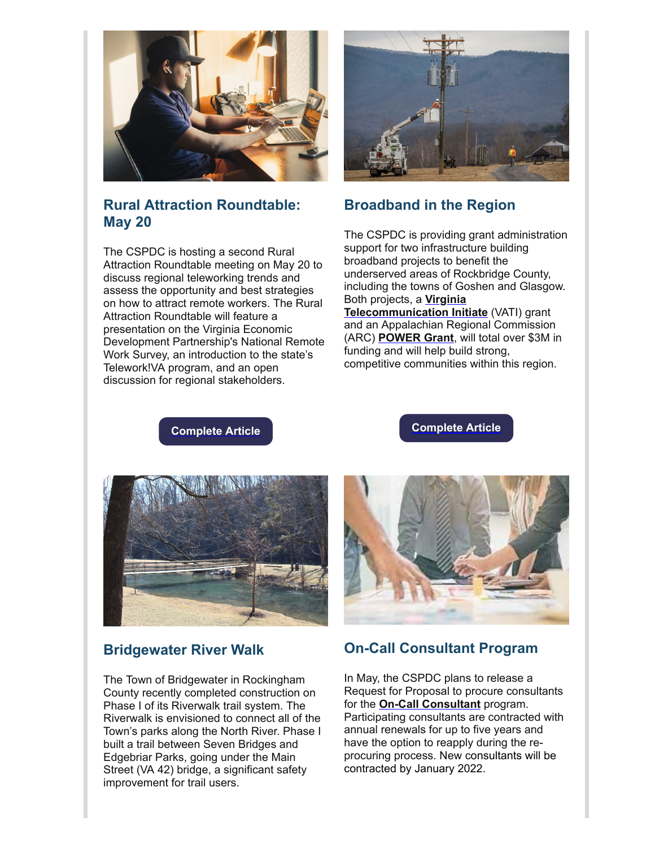

# **Rural Attraction Roundtable: May 20**

The CSPDC is hosting a second Rural Attraction Roundtable meeting on May 20 to discuss regional teleworking trends and assess the opportunity and best strategies on how to attract remote workers. The Rural Attraction Roundtable will feature a presentation on the Virginia Economic Development Partnership's National Remote Work Survey, an introduction to the state's Telework!VA program, and an open discussion for regional stakeholders.



# **Broadband in the Region**

The CSPDC is providing grant administration support for two infrastructure building broadband projects to benefit the underserved areas of Rockbridge County, including the towns of Goshen and Glasgow. Both projects, a **Virginia [Telecommunication Initiate](http://r20.rs6.net/tn.jsp?f=001SnaFE5R8OwDRq9QwMKfrI1UJOMjYrJ2V1oF3fPiUFbLcW2aBO1RB4DAs2dQnjtP6NXK6KGQptclDODHKPYPKHSDRoq17JxfOlc6WnBUb2CFS8j9GbrekOX0xSFL91hocjW4jcFoSmCTha6_7jOtMgJU2vem0YO4h&c=-rCxVHBLhHapzsdebnm3V99D6CjQIGPHTApVnHxdNCtAlF0JE5h9xg==&ch=OMSYqW4GcYSGAOxG9Zl7g4lI8R-KhLV7Ik5tYXL0gmKTm3ANLu4kaQ==)** (VATI) grant and an Appalachian Regional Commission (ARC) **[POWER Grant](http://r20.rs6.net/tn.jsp?f=001SnaFE5R8OwDRq9QwMKfrI1UJOMjYrJ2V1oF3fPiUFbLcW2aBO1RB4I-n65KUC0O3OwTGu1kwCFTkfzOGt8uOWGmc7sTDw8rGjKsw19caPoQi2EQd5Rz8R80Fn-8HIUB8-OHwK8bv4-6HjxfkkRX3pmu-zQFALP-oV2GWkzT2_yE=&c=-rCxVHBLhHapzsdebnm3V99D6CjQIGPHTApVnHxdNCtAlF0JE5h9xg==&ch=OMSYqW4GcYSGAOxG9Zl7g4lI8R-KhLV7Ik5tYXL0gmKTm3ANLu4kaQ==)**, will total over \$3M in funding and will help build strong, competitive communities within this region.

**[Complete Article](http://r20.rs6.net/tn.jsp?f=001SnaFE5R8OwDRq9QwMKfrI1UJOMjYrJ2V1oF3fPiUFbLcW2aBO1RB4I-n65KUC0O37AOOdCaWfwSSJSM6rTfbFL0HqzF_8AeW-i-H-Sa4C4ALfcL1XimH0eEb53OV8EKHWaalnw_awdkohevKs3Hwz0009rgNw3T4LHPi2a05fp6-A3PGZY5bQtUCJh3CYQ4Ci7koikjCTDo=&c=-rCxVHBLhHapzsdebnm3V99D6CjQIGPHTApVnHxdNCtAlF0JE5h9xg==&ch=OMSYqW4GcYSGAOxG9Zl7g4lI8R-KhLV7Ik5tYXL0gmKTm3ANLu4kaQ==)**

**[Complete Article](http://r20.rs6.net/tn.jsp?f=001SnaFE5R8OwDRq9QwMKfrI1UJOMjYrJ2V1oF3fPiUFbLcW2aBO1RB4I-n65KUC0O3nQhqqCjPnwORLYgy6Bgr2dHv-3-j08TbKp3tZ0emyROisuUABgQSQMbNJX1Nv8pWJZptnaxYbRJQxf0Ip9jgPcpU5SkOj0mOd_p6G-I-LHogS-8xCdZrHWSO_dOjRqCxh42Ul21ohM0=&c=-rCxVHBLhHapzsdebnm3V99D6CjQIGPHTApVnHxdNCtAlF0JE5h9xg==&ch=OMSYqW4GcYSGAOxG9Zl7g4lI8R-KhLV7Ik5tYXL0gmKTm3ANLu4kaQ==)**



# **Bridgewater River Walk**

The Town of Bridgewater in Rockingham County recently completed construction on Phase I of its Riverwalk trail system. The Riverwalk is envisioned to connect all of the Town's parks along the North River. Phase I built a trail between Seven Bridges and Edgebriar Parks, going under the Main Street (VA 42) bridge, a significant safety improvement for trail users.



# **On-Call Consultant Program**

In May, the CSPDC plans to release a Request for Proposal to procure consultants for the **[On-Call Consultant](http://r20.rs6.net/tn.jsp?f=001SnaFE5R8OwDRq9QwMKfrI1UJOMjYrJ2V1oF3fPiUFbLcW2aBO1RB4I-n65KUC0O35ItL8u4bydxQaHTHDJdWuIyOMfteRUfZRvDw3KwcEjPo3B33EDsCTvow1dbOjMB8PiNA40TMCIDS8H6iuMPzS7apYnlqF89BMTgp6ElfGBAuAqjqqvlBcRvuoW4HbqAytEm8kzr9Ib021HkOaY0HoA==&c=-rCxVHBLhHapzsdebnm3V99D6CjQIGPHTApVnHxdNCtAlF0JE5h9xg==&ch=OMSYqW4GcYSGAOxG9Zl7g4lI8R-KhLV7Ik5tYXL0gmKTm3ANLu4kaQ==)** program. Participating consultants are contracted with annual renewals for up to five years and have the option to reapply during the reprocuring process. New consultants will be contracted by January 2022.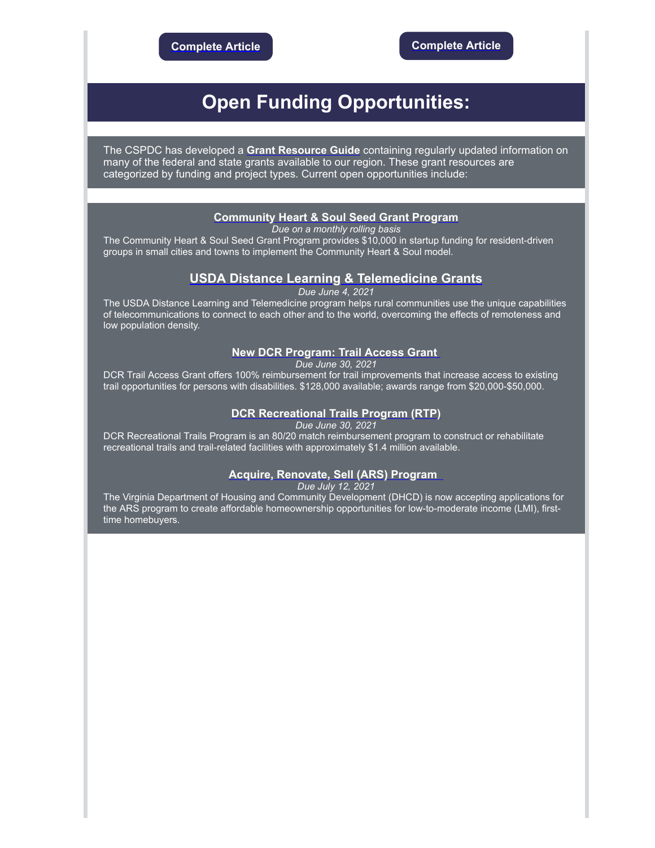# **Open Funding Opportunities:**

The CSPDC has developed a **Grant [Resource](http://r20.rs6.net/tn.jsp?f=001SnaFE5R8OwDRq9QwMKfrI1UJOMjYrJ2V1oF3fPiUFbLcW2aBO1RB4IMA0HqoP5-Ebrqk1c9B43Jl5qYOySa428lLNQ_wU6-B_YjYyGaWpxi3ZWqnqku9r6Hs-HZjpJpYoD3HG8U7hTo2ONh6dIGABMgAG7Cf25RZIfpjmTD10os=&c=-rCxVHBLhHapzsdebnm3V99D6CjQIGPHTApVnHxdNCtAlF0JE5h9xg==&ch=OMSYqW4GcYSGAOxG9Zl7g4lI8R-KhLV7Ik5tYXL0gmKTm3ANLu4kaQ==) Guide** containing regularly updated information on many of the federal and state grants available to our region. These grant resources are categorized by funding and project types. Current open opportunities include:

#### **[Community Heart & Soul Seed Grant Program](http://r20.rs6.net/tn.jsp?f=001SnaFE5R8OwDRq9QwMKfrI1UJOMjYrJ2V1oF3fPiUFbLcW2aBO1RB4I-n65KUC0O3Yy34cBHVpXKQGkIeZXk9XjRzfjBz-hLFgQZqNRbUw6PmktLFrqZrvcNcCFNwDGe8KLsIalR00Mf8Dn2KooWcKCY4HwwaDcb4gieUTv8Nf0zq9WQE1UefSg==&c=-rCxVHBLhHapzsdebnm3V99D6CjQIGPHTApVnHxdNCtAlF0JE5h9xg==&ch=OMSYqW4GcYSGAOxG9Zl7g4lI8R-KhLV7Ik5tYXL0gmKTm3ANLu4kaQ==)**

*Due on a monthly rolling basis*

The Community Heart & Soul Seed Grant Program provides \$10,000 in startup funding for resident-driven groups in small cities and towns to implement the Community Heart & Soul model.

### **[USDA Distance Learning & Telemedicine Grants](http://r20.rs6.net/tn.jsp?f=001SnaFE5R8OwDRq9QwMKfrI1UJOMjYrJ2V1oF3fPiUFbLcW2aBO1RB4I-n65KUC0O3Ukrpm6svbHNA6C2UNDLXxDe3Z_VtAbgcQgaSw5MC00lbEsNL6OapRiBwK1g9wvYJpMmWhTbqTvr6rJ629EdIUs4T3qySA0tQ-QFDB1aqwotYnHC5zoG00Xprz3QHXRHBvxmi4V0cOpRMwg4MD7eDB2PshdIAtklf&c=-rCxVHBLhHapzsdebnm3V99D6CjQIGPHTApVnHxdNCtAlF0JE5h9xg==&ch=OMSYqW4GcYSGAOxG9Zl7g4lI8R-KhLV7Ik5tYXL0gmKTm3ANLu4kaQ==)**

*Due June 4, 2021*

The USDA Distance Learning and Telemedicine program helps rural communities use the unique capabilities of telecommunications to connect to each other and to the world, overcoming the effects of remoteness and low population density.

### **[New DCR Program: Trail Access Grant](http://r20.rs6.net/tn.jsp?f=001SnaFE5R8OwDRq9QwMKfrI1UJOMjYrJ2V1oF3fPiUFbLcW2aBO1RB4I-n65KUC0O37_dPmpqOSWp9QgAHIpo59OyzC6mQW5he3ilXOmgtrk5wZnt7HBjeHn3GTeis2yrnz1ekFF5fgpQiuHJAUWY-s-COptCJACQTj0O9a_4rWWfJPrlglRlcYoQnKpudN6mU&c=-rCxVHBLhHapzsdebnm3V99D6CjQIGPHTApVnHxdNCtAlF0JE5h9xg==&ch=OMSYqW4GcYSGAOxG9Zl7g4lI8R-KhLV7Ik5tYXL0gmKTm3ANLu4kaQ==)**

*Due June 30, 2021*

DCR Trail Access Grant offers 100% reimbursement for trail improvements that increase access to existing trail opportunities for persons with disabilities. \$128,000 available; awards range from \$20,000-\$50,000.

#### **[DCR Recreational Trails Program \(RTP\)](http://r20.rs6.net/tn.jsp?f=001SnaFE5R8OwDRq9QwMKfrI1UJOMjYrJ2V1oF3fPiUFbLcW2aBO1RB4I-n65KUC0O37_dPmpqOSWp9QgAHIpo59OyzC6mQW5he3ilXOmgtrk5wZnt7HBjeHn3GTeis2yrnz1ekFF5fgpQiuHJAUWY-s-COptCJACQTj0O9a_4rWWfJPrlglRlcYoQnKpudN6mU&c=-rCxVHBLhHapzsdebnm3V99D6CjQIGPHTApVnHxdNCtAlF0JE5h9xg==&ch=OMSYqW4GcYSGAOxG9Zl7g4lI8R-KhLV7Ik5tYXL0gmKTm3ANLu4kaQ==)**

*Due June 30, 2021*

DCR Recreational Trails Program is an 80/20 match reimbursement program to construct or rehabilitate recreational trails and trail-related facilities with approximately \$1.4 million available.

### **[Acquire, Renovate, Sell \(ARS\) Program](http://r20.rs6.net/tn.jsp?f=001SnaFE5R8OwDRq9QwMKfrI1UJOMjYrJ2V1oF3fPiUFbLcW2aBO1RB4I-n65KUC0O3UElQVkOPUHnZ7lHRzV2wLGRSZj_KwvGFe7tcuexe9FtQYVsWp_bzwbC89qNJASjbJyZZcL47pV7RMzVrQT-zd545Sydxl2uB&c=-rCxVHBLhHapzsdebnm3V99D6CjQIGPHTApVnHxdNCtAlF0JE5h9xg==&ch=OMSYqW4GcYSGAOxG9Zl7g4lI8R-KhLV7Ik5tYXL0gmKTm3ANLu4kaQ==)**

*Due July 12, 2021*

The Virginia Department of Housing and Community Development (DHCD) is now accepting applications for the ARS program to create affordable homeownership opportunities for low-to-moderate income (LMI), firsttime homebuyers.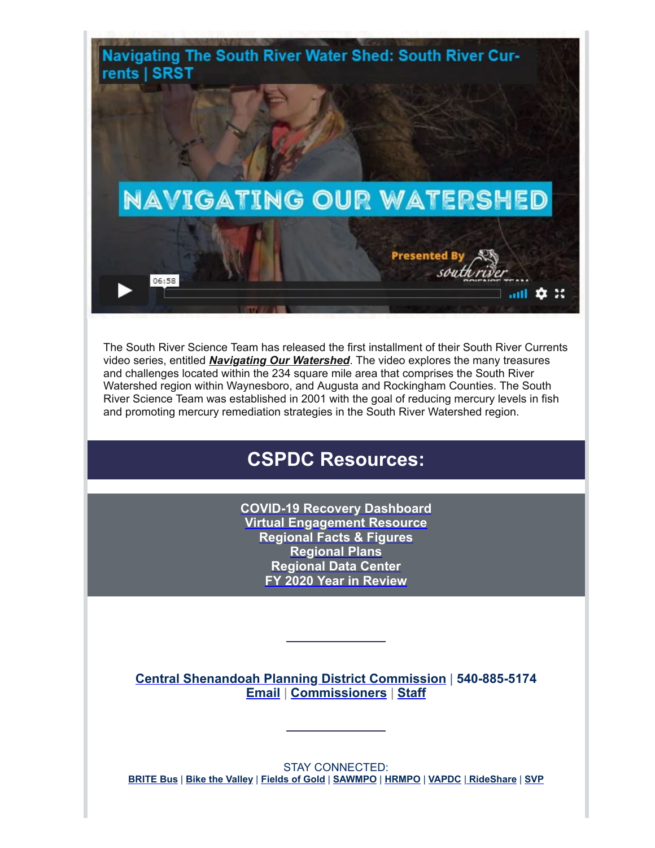

The South River Science Team has released the first installment of their South River Currents video series, entitled *[Navigating Our Watershed](http://r20.rs6.net/tn.jsp?f=001SnaFE5R8OwDRq9QwMKfrI1UJOMjYrJ2V1oF3fPiUFbLcW2aBO1RB4I-n65KUC0O3Dw8tJ5ysBu7eN_o6nwZ2M6LKk5jyQlmudlEPvr_ASh9FdKXvk_j-GdaUuq9NoLFHb-xtRD41lnWWiI2rEKfyuBRUiPg75e_QkyskH_D3w4w=&c=-rCxVHBLhHapzsdebnm3V99D6CjQIGPHTApVnHxdNCtAlF0JE5h9xg==&ch=OMSYqW4GcYSGAOxG9Zl7g4lI8R-KhLV7Ik5tYXL0gmKTm3ANLu4kaQ==)*. The video explores the many treasures and challenges located within the 234 square mile area that comprises the South River Watershed region within Waynesboro, and Augusta and Rockingham Counties. The South River Science Team was established in 2001 with the goal of reducing mercury levels in fish and promoting mercury remediation strategies in the South River Watershed region.

# **CSPDC Resources:**

**[COVID-19 Recovery Dashboard](http://r20.rs6.net/tn.jsp?f=001SnaFE5R8OwDRq9QwMKfrI1UJOMjYrJ2V1oF3fPiUFbLcW2aBO1RB4PDrz78rVr9B24jM3OrYVSHr7s9F5ohup9FpC7J9EP9XN2wsejK5XQTHxnQDm3wrzOq6b6-c6DR6lqRI4DYSik1V6PgTCOFZh9qeufp5Nx7Jppfdr5eMiHw=&c=-rCxVHBLhHapzsdebnm3V99D6CjQIGPHTApVnHxdNCtAlF0JE5h9xg==&ch=OMSYqW4GcYSGAOxG9Zl7g4lI8R-KhLV7Ik5tYXL0gmKTm3ANLu4kaQ==) [Virtual Engagement Resource](http://r20.rs6.net/tn.jsp?f=001SnaFE5R8OwDRq9QwMKfrI1UJOMjYrJ2V1oF3fPiUFbLcW2aBO1RB4AOXFRiWoXuoTJTRutDcfwWPZZmfkYhVKil-ZjSUY2AMVe-QftTf2D1t-4m-rgjCMDUh1fAsoH6Sel5VIt4O39fi8S8e6g4FwL3-5Ja46Y8nAR1lV74o6XDQG757D_ebyQ7z4pq9sDAvWSAcWRnZ3-E0NstNkCmIAw==&c=-rCxVHBLhHapzsdebnm3V99D6CjQIGPHTApVnHxdNCtAlF0JE5h9xg==&ch=OMSYqW4GcYSGAOxG9Zl7g4lI8R-KhLV7Ik5tYXL0gmKTm3ANLu4kaQ==) [Regional Facts & Figures](http://r20.rs6.net/tn.jsp?f=001SnaFE5R8OwDRq9QwMKfrI1UJOMjYrJ2V1oF3fPiUFbLcW2aBO1RB4ArdDoQVSaOB8szv_HUn3TabZ-J-y9dmsqgSi7vxIu3tnEkBBj-Qf97yPyoHFy3QNrlTSxC3Ug0EUgjiW2ZTsQ-bzrA8_wmHTyDE2NsKaV1o&c=-rCxVHBLhHapzsdebnm3V99D6CjQIGPHTApVnHxdNCtAlF0JE5h9xg==&ch=OMSYqW4GcYSGAOxG9Zl7g4lI8R-KhLV7Ik5tYXL0gmKTm3ANLu4kaQ==) [Regional Plans](http://r20.rs6.net/tn.jsp?f=001SnaFE5R8OwDRq9QwMKfrI1UJOMjYrJ2V1oF3fPiUFbLcW2aBO1RB4FWzN6rA1yqYLHxOUbLYBSp6dojwlV3y4p8YDRhUZw6tTM-IMXljDTnseeKlASQVUQZ2wEn0kdvtN0kUP0ig_MkyTImEKEPBbzOCpYeKD4d1&c=-rCxVHBLhHapzsdebnm3V99D6CjQIGPHTApVnHxdNCtAlF0JE5h9xg==&ch=OMSYqW4GcYSGAOxG9Zl7g4lI8R-KhLV7Ik5tYXL0gmKTm3ANLu4kaQ==) [Regional Data Center](http://r20.rs6.net/tn.jsp?f=001SnaFE5R8OwDRq9QwMKfrI1UJOMjYrJ2V1oF3fPiUFbLcW2aBO1RB4FWzN6rA1yqYVywiTjGJVSUDCF-VZDD45cCs9toMBxOYR8x1KD8eR9GvSznYy1aBlQiHihsrblcd47cQe_hitYjbblzdwy7nObrIAryq-iV8&c=-rCxVHBLhHapzsdebnm3V99D6CjQIGPHTApVnHxdNCtAlF0JE5h9xg==&ch=OMSYqW4GcYSGAOxG9Zl7g4lI8R-KhLV7Ik5tYXL0gmKTm3ANLu4kaQ==) [FY 2020 Year in Review](http://r20.rs6.net/tn.jsp?f=001SnaFE5R8OwDRq9QwMKfrI1UJOMjYrJ2V1oF3fPiUFbLcW2aBO1RB4JL1TCwBHuF6Ss2L3H8mOYFoc8A-uJIw0e8eFBF2NFmblpKb5_KqKMc-eI-fWXz_FGA5ROY7QI8Bhhb3WA9wZRomjE5AegttHPFhv84wY1Q8MI2kDP3RS_xZ46WRSYshwjqpu9WC6dyflwIoRc4VnplSYBS33H3ZxAi21swnRE_To3pSyGQP4t4=&c=-rCxVHBLhHapzsdebnm3V99D6CjQIGPHTApVnHxdNCtAlF0JE5h9xg==&ch=OMSYqW4GcYSGAOxG9Zl7g4lI8R-KhLV7Ik5tYXL0gmKTm3ANLu4kaQ==)**

**[Central Shenandoah Planning District Commission](http://r20.rs6.net/tn.jsp?f=001SnaFE5R8OwDRq9QwMKfrI1UJOMjYrJ2V1oF3fPiUFbLcW2aBO1RB4BLj2dUf42sGVNBmJxhZTeROX1S-ofStpR2zsA3XPKAxy6Nb6USI0wZzZZNO81_GAe0gqIrpXwOTD0-noG_xbnyYldQyCl8ecw==&c=-rCxVHBLhHapzsdebnm3V99D6CjQIGPHTApVnHxdNCtAlF0JE5h9xg==&ch=OMSYqW4GcYSGAOxG9Zl7g4lI8R-KhLV7Ik5tYXL0gmKTm3ANLu4kaQ==)** | **540-885-5174 [Email](mailto:kimberly@cspdc.org)** | **[Commissioners](http://r20.rs6.net/tn.jsp?f=001SnaFE5R8OwDRq9QwMKfrI1UJOMjYrJ2V1oF3fPiUFbLcW2aBO1RB4ArdDoQVSaOBMFyUf3erJVFEU6trSO0Glp4i8AQoaTHtUkFUrfbAdM6rddtxC040EfqB6ja5JgzuxYuq0H8bOWkiVxz5b2Yfs8nGen6tJttGpAVx9Yny6_N1j_RH1sjoAA==&c=-rCxVHBLhHapzsdebnm3V99D6CjQIGPHTApVnHxdNCtAlF0JE5h9xg==&ch=OMSYqW4GcYSGAOxG9Zl7g4lI8R-KhLV7Ik5tYXL0gmKTm3ANLu4kaQ==)** | **[Staff](http://r20.rs6.net/tn.jsp?f=001SnaFE5R8OwDRq9QwMKfrI1UJOMjYrJ2V1oF3fPiUFbLcW2aBO1RB4ArdDoQVSaOBb4dsZh3OKyqRpS2b8lK74nTxGOyKZVDQqqdRgN8HRqGRpg6fYInBeLP34ZohZCXIurzMQWdP4PYLgnWAeMoXyonA1r33HJJVVsSzDyhYyzOqu1KYiNxlO2MvHyczUH8ir_E2pocO3MG8kiEWiI2eXDmb32UsAG1bu348BbQcHCRHYoqaBtqx4QZlcuHmhMHAajb1a3BaEAZf-pcxbnlpS_L6GZVhWGJQ2U5pwZcgZ-o=&c=-rCxVHBLhHapzsdebnm3V99D6CjQIGPHTApVnHxdNCtAlF0JE5h9xg==&ch=OMSYqW4GcYSGAOxG9Zl7g4lI8R-KhLV7Ik5tYXL0gmKTm3ANLu4kaQ==)**

STAY CONNECTED: **[BRITE Bus](http://r20.rs6.net/tn.jsp?f=001SnaFE5R8OwDRq9QwMKfrI1UJOMjYrJ2V1oF3fPiUFbLcW2aBO1RB4OVNPxO9tq20WAYnVR-1BmvbXThD8BqKQcOFpmnqaLB9BcnZTlBNDRNbC1U2M3USWb15pbGZJD5ocbcGEdueQO6p4kFzb7Kg0Q==&c=-rCxVHBLhHapzsdebnm3V99D6CjQIGPHTApVnHxdNCtAlF0JE5h9xg==&ch=OMSYqW4GcYSGAOxG9Zl7g4lI8R-KhLV7Ik5tYXL0gmKTm3ANLu4kaQ==)** | **[Bike the Valley](http://r20.rs6.net/tn.jsp?f=001SnaFE5R8OwDRq9QwMKfrI1UJOMjYrJ2V1oF3fPiUFbLcW2aBO1RB4F6NitnGzA0fsChdu7-MgRtEld8shMFfgejpEyA1lGd-cZ5QfEw3iIxF0e4WHedbQzWwGL4rgVUmVCx3A4aCXkNh0k-zU_wB9g==&c=-rCxVHBLhHapzsdebnm3V99D6CjQIGPHTApVnHxdNCtAlF0JE5h9xg==&ch=OMSYqW4GcYSGAOxG9Zl7g4lI8R-KhLV7Ik5tYXL0gmKTm3ANLu4kaQ==)** | **[Fields of Gold](http://r20.rs6.net/tn.jsp?f=001SnaFE5R8OwDRq9QwMKfrI1UJOMjYrJ2V1oF3fPiUFbLcW2aBO1RB4BLj2dUf42sGUXeaTpDrOvvmlfF5hT7khvREVu2ErpyBFz1xkFXdv7TJYgdirkRvxOGtDDKbDtq6MKoYtdr7IwOnH6HsS5A-0g==&c=-rCxVHBLhHapzsdebnm3V99D6CjQIGPHTApVnHxdNCtAlF0JE5h9xg==&ch=OMSYqW4GcYSGAOxG9Zl7g4lI8R-KhLV7Ik5tYXL0gmKTm3ANLu4kaQ==)** | **[SAWMPO](http://r20.rs6.net/tn.jsp?f=001SnaFE5R8OwDRq9QwMKfrI1UJOMjYrJ2V1oF3fPiUFbLcW2aBO1RB4F6NitnGzA0fxCr4Grm9XL_zHJIH5wne_acWFlPTIL3yKwLkT3QOTpf91gDXOULVCUFFh7E4gNTyu9_Yxx8SlBlLnO919kgxzg==&c=-rCxVHBLhHapzsdebnm3V99D6CjQIGPHTApVnHxdNCtAlF0JE5h9xg==&ch=OMSYqW4GcYSGAOxG9Zl7g4lI8R-KhLV7Ik5tYXL0gmKTm3ANLu4kaQ==)** | **[HRMPO](http://r20.rs6.net/tn.jsp?f=001SnaFE5R8OwDRq9QwMKfrI1UJOMjYrJ2V1oF3fPiUFbLcW2aBO1RB4CTl1dPNpl86sPfmz5CaO7JTdSPDrj5AxOy5zTvRdizNUJ8D-mUGCfIPaGPnKpvC5ADJI1HyYR0uIwYxUEPSu1FXQk-waZ1BKw==&c=-rCxVHBLhHapzsdebnm3V99D6CjQIGPHTApVnHxdNCtAlF0JE5h9xg==&ch=OMSYqW4GcYSGAOxG9Zl7g4lI8R-KhLV7Ik5tYXL0gmKTm3ANLu4kaQ==)** | **[VAPDC](http://r20.rs6.net/tn.jsp?f=001SnaFE5R8OwDRq9QwMKfrI1UJOMjYrJ2V1oF3fPiUFbLcW2aBO1RB4H2VCrF6C-oKnmeIJFXw4sKH39KHTifPdVoTDxx2R6251Z3pDYT1e8ZA0fZMn4b0REeCOgFSXs8DRg2VHJxXSgg=&c=-rCxVHBLhHapzsdebnm3V99D6CjQIGPHTApVnHxdNCtAlF0JE5h9xg==&ch=OMSYqW4GcYSGAOxG9Zl7g4lI8R-KhLV7Ik5tYXL0gmKTm3ANLu4kaQ==)** | **[RideShare](http://r20.rs6.net/tn.jsp?f=001SnaFE5R8OwDRq9QwMKfrI1UJOMjYrJ2V1oF3fPiUFbLcW2aBO1RB4F6NitnGzA0fKDFQpSnvXBjTqsWjsqOJFbXv2zP9qoX8kZSpPyZ3mks0Maz0EvlgfgwP2-XN01xXxm_TBTNgQc83Iza5CJUA4A==&c=-rCxVHBLhHapzsdebnm3V99D6CjQIGPHTApVnHxdNCtAlF0JE5h9xg==&ch=OMSYqW4GcYSGAOxG9Zl7g4lI8R-KhLV7Ik5tYXL0gmKTm3ANLu4kaQ==)** | **[SVP](http://r20.rs6.net/tn.jsp?f=001SnaFE5R8OwDRq9QwMKfrI1UJOMjYrJ2V1oF3fPiUFbLcW2aBO1RB4FWzN6rA1yqYDd8M1f1tz_tdCAAqc2evJbkI6QXuJlgcSrx7QsQdspXjOIETIsSKmyfEFDiRs8E7xkV54q8WEEWWOnF1bY8HUxEEc-Buy3Q_&c=-rCxVHBLhHapzsdebnm3V99D6CjQIGPHTApVnHxdNCtAlF0JE5h9xg==&ch=OMSYqW4GcYSGAOxG9Zl7g4lI8R-KhLV7Ik5tYXL0gmKTm3ANLu4kaQ==)**